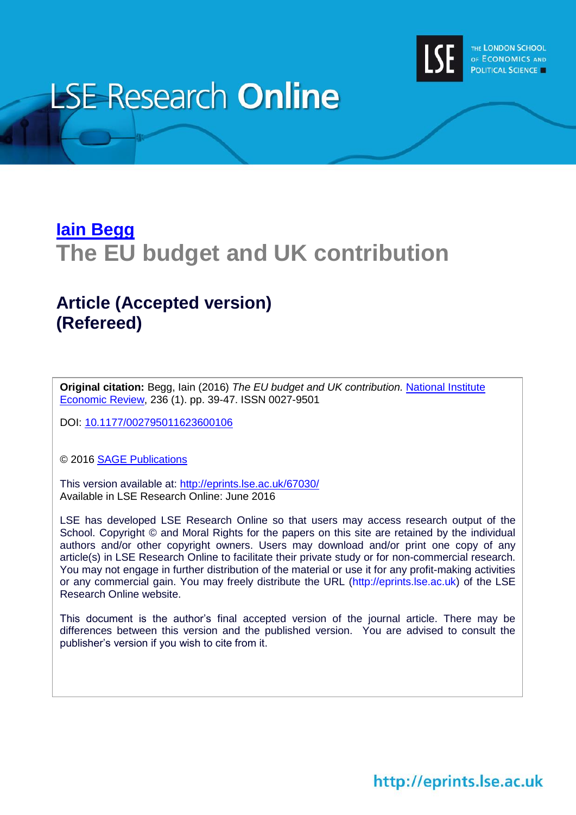

# **LSE Research Online**

# **[Iain Begg](http://www.lse.ac.uk/researchAndExpertise/Experts/profile.aspx?KeyValue=iain.begg@lse.ac.uk) The EU budget and UK contribution**

# **Article (Accepted version) (Refereed)**

**Original citation:** Begg, Iain (2016) *The EU budget and UK contribution.* [National Institute](http://ner.sagepub.com/)  [Economic Review,](http://ner.sagepub.com/) 236 (1). pp. 39-47. ISSN 0027-9501

DOI: [10.1177/002795011623600106](http://dx.doi.org/10.1177/002795011623600106)

© 2016 [SAGE Publications](http://online.sagepub.com/)

This version available at:<http://eprints.lse.ac.uk/67030/> Available in LSE Research Online: June 2016

LSE has developed LSE Research Online so that users may access research output of the School. Copyright © and Moral Rights for the papers on this site are retained by the individual authors and/or other copyright owners. Users may download and/or print one copy of any article(s) in LSE Research Online to facilitate their private study or for non-commercial research. You may not engage in further distribution of the material or use it for any profit-making activities or any commercial gain. You may freely distribute the URL (http://eprints.lse.ac.uk) of the LSE Research Online website.

This document is the author's final accepted version of the journal article. There may be differences between this version and the published version. You are advised to consult the publisher's version if you wish to cite from it.

http://eprints.lse.ac.uk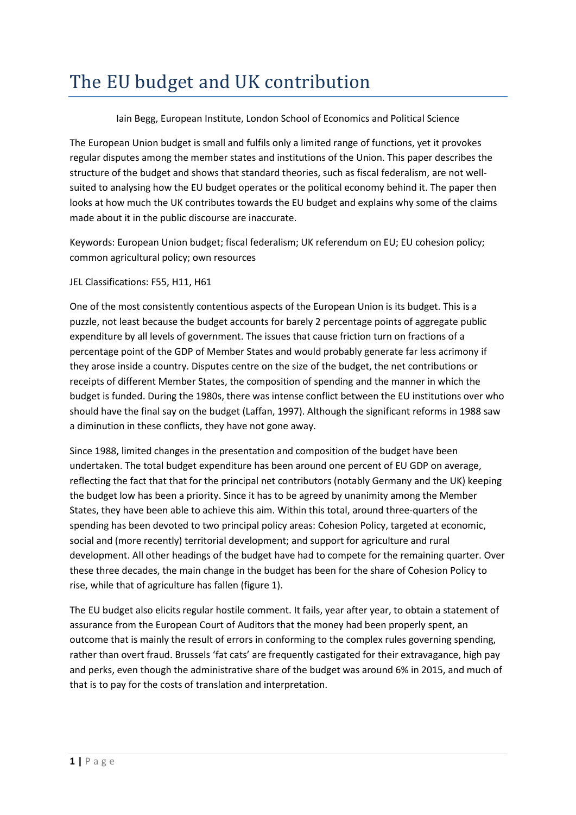# The EU budget and UK contribution

#### Iain Begg, European Institute, London School of Economics and Political Science

The European Union budget is small and fulfils only a limited range of functions, yet it provokes regular disputes among the member states and institutions of the Union. This paper describes the structure of the budget and shows that standard theories, such as fiscal federalism, are not wellsuited to analysing how the EU budget operates or the political economy behind it. The paper then looks at how much the UK contributes towards the EU budget and explains why some of the claims made about it in the public discourse are inaccurate.

Keywords: European Union budget; fiscal federalism; UK referendum on EU; EU cohesion policy; common agricultural policy; own resources

#### JEL Classifications: F55, H11, H61

One of the most consistently contentious aspects of the European Union is its budget. This is a puzzle, not least because the budget accounts for barely 2 percentage points of aggregate public expenditure by all levels of government. The issues that cause friction turn on fractions of a percentage point of the GDP of Member States and would probably generate far less acrimony if they arose inside a country. Disputes centre on the size of the budget, the net contributions or receipts of different Member States, the composition of spending and the manner in which the budget is funded. During the 1980s, there was intense conflict between the EU institutions over who should have the final say on the budget (Laffan, 1997). Although the significant reforms in 1988 saw a diminution in these conflicts, they have not gone away.

Since 1988, limited changes in the presentation and composition of the budget have been undertaken. The total budget expenditure has been around one percent of EU GDP on average, reflecting the fact that that for the principal net contributors (notably Germany and the UK) keeping the budget low has been a priority. Since it has to be agreed by unanimity among the Member States, they have been able to achieve this aim. Within this total, around three-quarters of the spending has been devoted to two principal policy areas: Cohesion Policy, targeted at economic, social and (more recently) territorial development; and support for agriculture and rural development. All other headings of the budget have had to compete for the remaining quarter. Over these three decades, the main change in the budget has been for the share of Cohesion Policy to rise, while that of agriculture has fallen (figure 1).

The EU budget also elicits regular hostile comment. It fails, year after year, to obtain a statement of assurance from the European Court of Auditors that the money had been properly spent, an outcome that is mainly the result of errors in conforming to the complex rules governing spending, rather than overt fraud. Brussels 'fat cats' are frequently castigated for their extravagance, high pay and perks, even though the administrative share of the budget was around 6% in 2015, and much of that is to pay for the costs of translation and interpretation.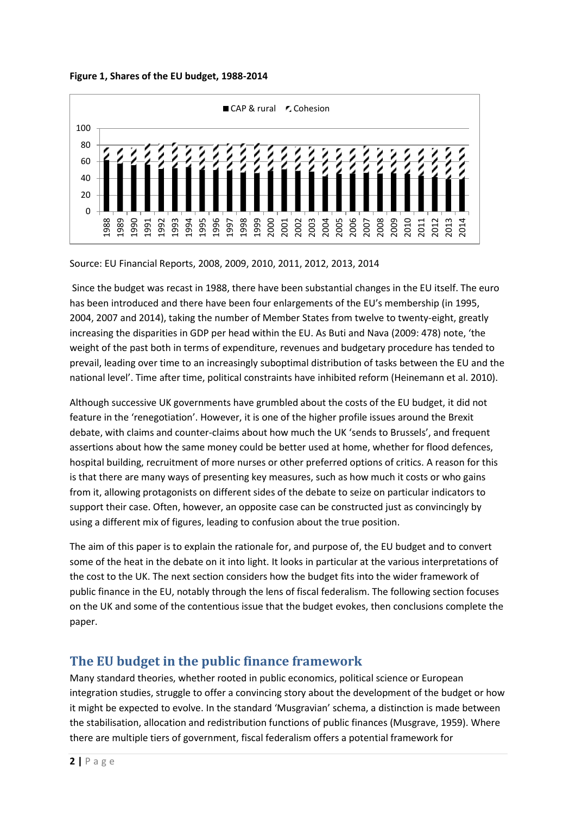**Figure 1, Shares of the EU budget, 1988-2014**



Source: EU Financial Reports, 2008, 2009, 2010, 2011, 2012, 2013, 2014

Since the budget was recast in 1988, there have been substantial changes in the EU itself. The euro has been introduced and there have been four enlargements of the EU's membership (in 1995, 2004, 2007 and 2014), taking the number of Member States from twelve to twenty-eight, greatly increasing the disparities in GDP per head within the EU. As Buti and Nava (2009: 478) note, 'the weight of the past both in terms of expenditure, revenues and budgetary procedure has tended to prevail, leading over time to an increasingly suboptimal distribution of tasks between the EU and the national level'. Time after time, political constraints have inhibited reform (Heinemann et al. 2010).

Although successive UK governments have grumbled about the costs of the EU budget, it did not feature in the 'renegotiation'. However, it is one of the higher profile issues around the Brexit debate, with claims and counter-claims about how much the UK 'sends to Brussels', and frequent assertions about how the same money could be better used at home, whether for flood defences, hospital building, recruitment of more nurses or other preferred options of critics. A reason for this is that there are many ways of presenting key measures, such as how much it costs or who gains from it, allowing protagonists on different sides of the debate to seize on particular indicators to support their case. Often, however, an opposite case can be constructed just as convincingly by using a different mix of figures, leading to confusion about the true position.

The aim of this paper is to explain the rationale for, and purpose of, the EU budget and to convert some of the heat in the debate on it into light. It looks in particular at the various interpretations of the cost to the UK. The next section considers how the budget fits into the wider framework of public finance in the EU, notably through the lens of fiscal federalism. The following section focuses on the UK and some of the contentious issue that the budget evokes, then conclusions complete the paper.

# **The EU budget in the public finance framework**

Many standard theories, whether rooted in public economics, political science or European integration studies, struggle to offer a convincing story about the development of the budget or how it might be expected to evolve. In the standard 'Musgravian' schema, a distinction is made between the stabilisation, allocation and redistribution functions of public finances (Musgrave, 1959). Where there are multiple tiers of government, fiscal federalism offers a potential framework for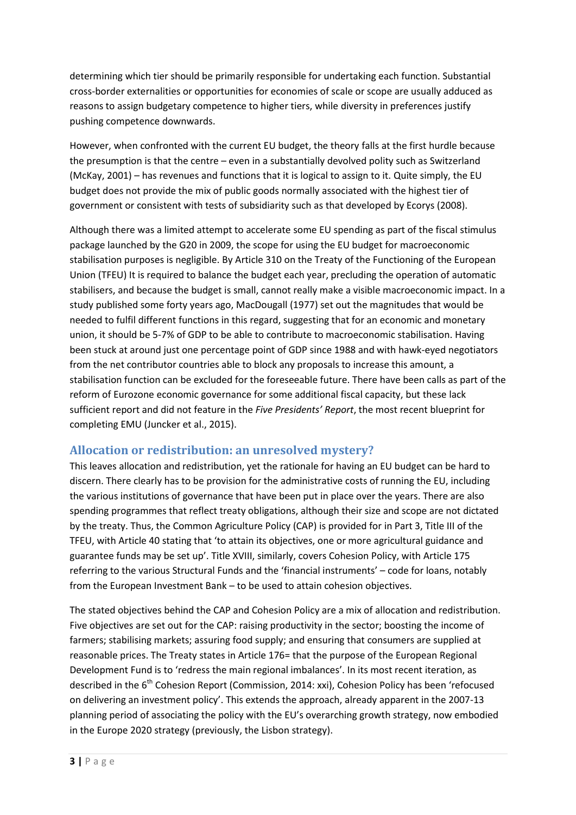determining which tier should be primarily responsible for undertaking each function. Substantial cross-border externalities or opportunities for economies of scale or scope are usually adduced as reasons to assign budgetary competence to higher tiers, while diversity in preferences justify pushing competence downwards.

However, when confronted with the current EU budget, the theory falls at the first hurdle because the presumption is that the centre – even in a substantially devolved polity such as Switzerland (McKay, 2001) – has revenues and functions that it is logical to assign to it. Quite simply, the EU budget does not provide the mix of public goods normally associated with the highest tier of government or consistent with tests of subsidiarity such as that developed by Ecorys (2008).

Although there was a limited attempt to accelerate some EU spending as part of the fiscal stimulus package launched by the G20 in 2009, the scope for using the EU budget for macroeconomic stabilisation purposes is negligible. By Article 310 on the Treaty of the Functioning of the European Union (TFEU) It is required to balance the budget each year, precluding the operation of automatic stabilisers, and because the budget is small, cannot really make a visible macroeconomic impact. In a study published some forty years ago, MacDougall (1977) set out the magnitudes that would be needed to fulfil different functions in this regard, suggesting that for an economic and monetary union, it should be 5-7% of GDP to be able to contribute to macroeconomic stabilisation. Having been stuck at around just one percentage point of GDP since 1988 and with hawk-eyed negotiators from the net contributor countries able to block any proposals to increase this amount, a stabilisation function can be excluded for the foreseeable future. There have been calls as part of the reform of Eurozone economic governance for some additional fiscal capacity, but these lack sufficient report and did not feature in the *Five Presidents' Report*, the most recent blueprint for completing EMU (Juncker et al., 2015).

# **Allocation or redistribution: an unresolved mystery?**

This leaves allocation and redistribution, yet the rationale for having an EU budget can be hard to discern. There clearly has to be provision for the administrative costs of running the EU, including the various institutions of governance that have been put in place over the years. There are also spending programmes that reflect treaty obligations, although their size and scope are not dictated by the treaty. Thus, the Common Agriculture Policy (CAP) is provided for in Part 3, Title III of the TFEU, with Article 40 stating that 'to attain its objectives, one or more agricultural guidance and guarantee funds may be set up'. Title XVIII, similarly, covers Cohesion Policy, with Article 175 referring to the various Structural Funds and the 'financial instruments' – code for loans, notably from the European Investment Bank – to be used to attain cohesion objectives.

The stated objectives behind the CAP and Cohesion Policy are a mix of allocation and redistribution. Five objectives are set out for the CAP: raising productivity in the sector; boosting the income of farmers; stabilising markets; assuring food supply; and ensuring that consumers are supplied at reasonable prices. The Treaty states in Article 176= that the purpose of the European Regional Development Fund is to 'redress the main regional imbalances'. In its most recent iteration, as described in the 6<sup>th</sup> Cohesion Report (Commission, 2014: xxi), Cohesion Policy has been 'refocused on delivering an investment policy'. This extends the approach, already apparent in the 2007-13 planning period of associating the policy with the EU's overarching growth strategy, now embodied in the Europe 2020 strategy (previously, the Lisbon strategy).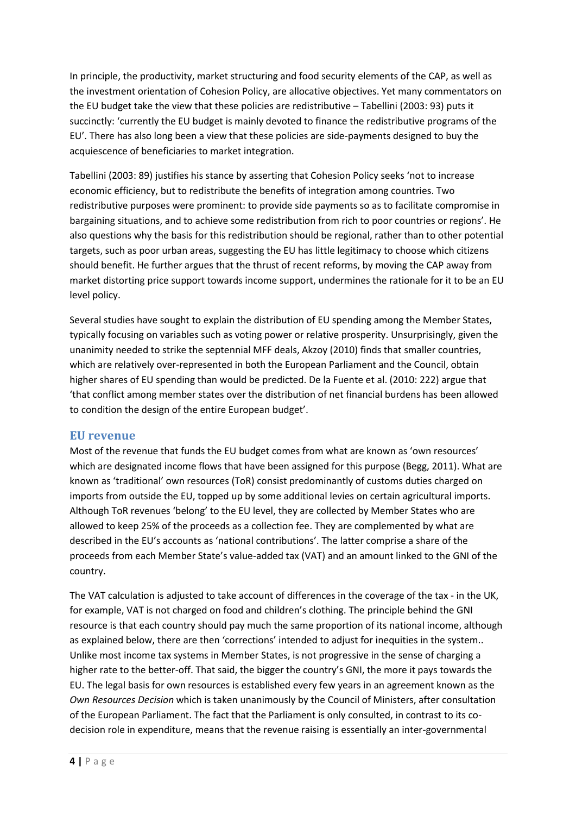In principle, the productivity, market structuring and food security elements of the CAP, as well as the investment orientation of Cohesion Policy, are allocative objectives. Yet many commentators on the EU budget take the view that these policies are redistributive – Tabellini (2003: 93) puts it succinctly: 'currently the EU budget is mainly devoted to finance the redistributive programs of the EU'. There has also long been a view that these policies are side-payments designed to buy the acquiescence of beneficiaries to market integration.

Tabellini (2003: 89) justifies his stance by asserting that Cohesion Policy seeks 'not to increase economic efficiency, but to redistribute the benefits of integration among countries. Two redistributive purposes were prominent: to provide side payments so as to facilitate compromise in bargaining situations, and to achieve some redistribution from rich to poor countries or regions'. He also questions why the basis for this redistribution should be regional, rather than to other potential targets, such as poor urban areas, suggesting the EU has little legitimacy to choose which citizens should benefit. He further argues that the thrust of recent reforms, by moving the CAP away from market distorting price support towards income support, undermines the rationale for it to be an EU level policy.

Several studies have sought to explain the distribution of EU spending among the Member States, typically focusing on variables such as voting power or relative prosperity. Unsurprisingly, given the unanimity needed to strike the septennial MFF deals, Akzoy (2010) finds that smaller countries, which are relatively over-represented in both the European Parliament and the Council, obtain higher shares of EU spending than would be predicted. De la Fuente et al. (2010: 222) argue that 'that conflict among member states over the distribution of net financial burdens has been allowed to condition the design of the entire European budget'.

## **EU revenue**

Most of the revenue that funds the EU budget comes from what are known as 'own resources' which are designated income flows that have been assigned for this purpose (Begg, 2011). What are known as 'traditional' own resources (ToR) consist predominantly of customs duties charged on imports from outside the EU, topped up by some additional levies on certain agricultural imports. Although ToR revenues 'belong' to the EU level, they are collected by Member States who are allowed to keep 25% of the proceeds as a collection fee. They are complemented by what are described in the EU's accounts as 'national contributions'. The latter comprise a share of the proceeds from each Member State's value-added tax (VAT) and an amount linked to the GNI of the country.

The VAT calculation is adjusted to take account of differences in the coverage of the tax - in the UK, for example, VAT is not charged on food and children's clothing. The principle behind the GNI resource is that each country should pay much the same proportion of its national income, although as explained below, there are then 'corrections' intended to adjust for inequities in the system.. Unlike most income tax systems in Member States, is not progressive in the sense of charging a higher rate to the better-off. That said, the bigger the country's GNI, the more it pays towards the EU. The legal basis for own resources is established every few years in an agreement known as the *Own Resources Decision* which is taken unanimously by the Council of Ministers, after consultation of the European Parliament. The fact that the Parliament is only consulted, in contrast to its codecision role in expenditure, means that the revenue raising is essentially an inter-governmental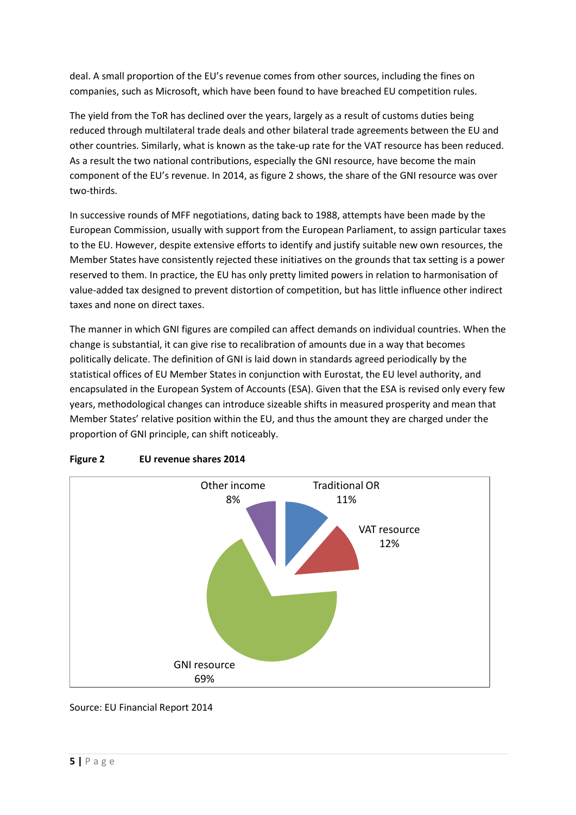deal. A small proportion of the EU's revenue comes from other sources, including the fines on companies, such as Microsoft, which have been found to have breached EU competition rules.

The yield from the ToR has declined over the years, largely as a result of customs duties being reduced through multilateral trade deals and other bilateral trade agreements between the EU and other countries. Similarly, what is known as the take-up rate for the VAT resource has been reduced. As a result the two national contributions, especially the GNI resource, have become the main component of the EU's revenue. In 2014, as figure 2 shows, the share of the GNI resource was over two-thirds.

In successive rounds of MFF negotiations, dating back to 1988, attempts have been made by the European Commission, usually with support from the European Parliament, to assign particular taxes to the EU. However, despite extensive efforts to identify and justify suitable new own resources, the Member States have consistently rejected these initiatives on the grounds that tax setting is a power reserved to them. In practice, the EU has only pretty limited powers in relation to harmonisation of value-added tax designed to prevent distortion of competition, but has little influence other indirect taxes and none on direct taxes.

The manner in which GNI figures are compiled can affect demands on individual countries. When the change is substantial, it can give rise to recalibration of amounts due in a way that becomes politically delicate. The definition of GNI is laid down in standards agreed periodically by the statistical offices of EU Member States in conjunction with Eurostat, the EU level authority, and encapsulated in the European System of Accounts (ESA). Given that the ESA is revised only every few years, methodological changes can introduce sizeable shifts in measured prosperity and mean that Member States' relative position within the EU, and thus the amount they are charged under the proportion of GNI principle, can shift noticeably.



# **Figure 2 EU revenue shares 2014**

# Source: EU Financial Report 2014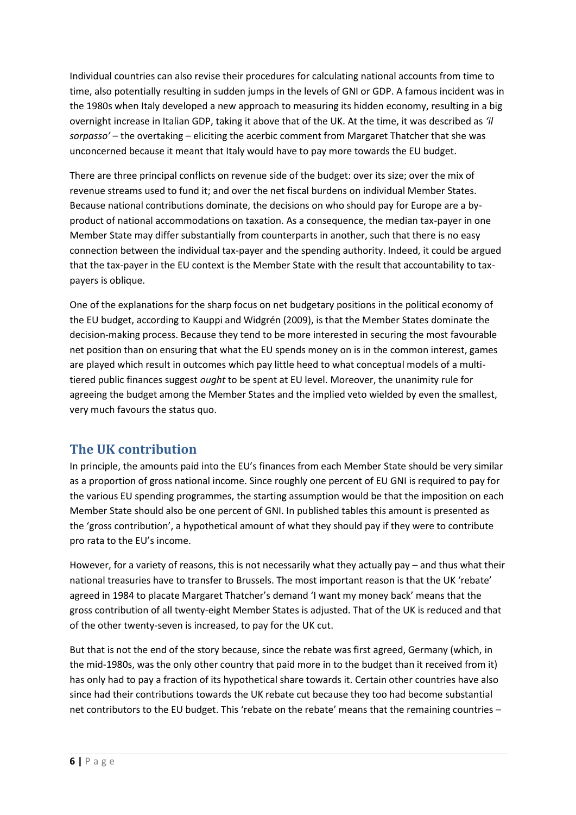Individual countries can also revise their procedures for calculating national accounts from time to time, also potentially resulting in sudden jumps in the levels of GNI or GDP. A famous incident was in the 1980s when Italy developed a new approach to measuring its hidden economy, resulting in a big overnight increase in Italian GDP, taking it above that of the UK. At the time, it was described as *'il sorpasso'* – the overtaking – eliciting the acerbic comment from Margaret Thatcher that she was unconcerned because it meant that Italy would have to pay more towards the EU budget.

There are three principal conflicts on revenue side of the budget: over its size; over the mix of revenue streams used to fund it; and over the net fiscal burdens on individual Member States. Because national contributions dominate, the decisions on who should pay for Europe are a byproduct of national accommodations on taxation. As a consequence, the median tax-payer in one Member State may differ substantially from counterparts in another, such that there is no easy connection between the individual tax-payer and the spending authority. Indeed, it could be argued that the tax-payer in the EU context is the Member State with the result that accountability to taxpayers is oblique.

One of the explanations for the sharp focus on net budgetary positions in the political economy of the EU budget, according to Kauppi and Widgrén (2009), is that the Member States dominate the decision-making process. Because they tend to be more interested in securing the most favourable net position than on ensuring that what the EU spends money on is in the common interest, games are played which result in outcomes which pay little heed to what conceptual models of a multitiered public finances suggest *ought* to be spent at EU level. Moreover, the unanimity rule for agreeing the budget among the Member States and the implied veto wielded by even the smallest, very much favours the status quo.

# **The UK contribution**

In principle, the amounts paid into the EU's finances from each Member State should be very similar as a proportion of gross national income. Since roughly one percent of EU GNI is required to pay for the various EU spending programmes, the starting assumption would be that the imposition on each Member State should also be one percent of GNI. In published tables this amount is presented as the 'gross contribution', a hypothetical amount of what they should pay if they were to contribute pro rata to the EU's income.

However, for a variety of reasons, this is not necessarily what they actually pay – and thus what their national treasuries have to transfer to Brussels. The most important reason is that the UK 'rebate' agreed in 1984 to placate Margaret Thatcher's demand 'I want my money back' means that the gross contribution of all twenty-eight Member States is adjusted. That of the UK is reduced and that of the other twenty-seven is increased, to pay for the UK cut.

But that is not the end of the story because, since the rebate was first agreed, Germany (which, in the mid-1980s, was the only other country that paid more in to the budget than it received from it) has only had to pay a fraction of its hypothetical share towards it. Certain other countries have also since had their contributions towards the UK rebate cut because they too had become substantial net contributors to the EU budget. This 'rebate on the rebate' means that the remaining countries –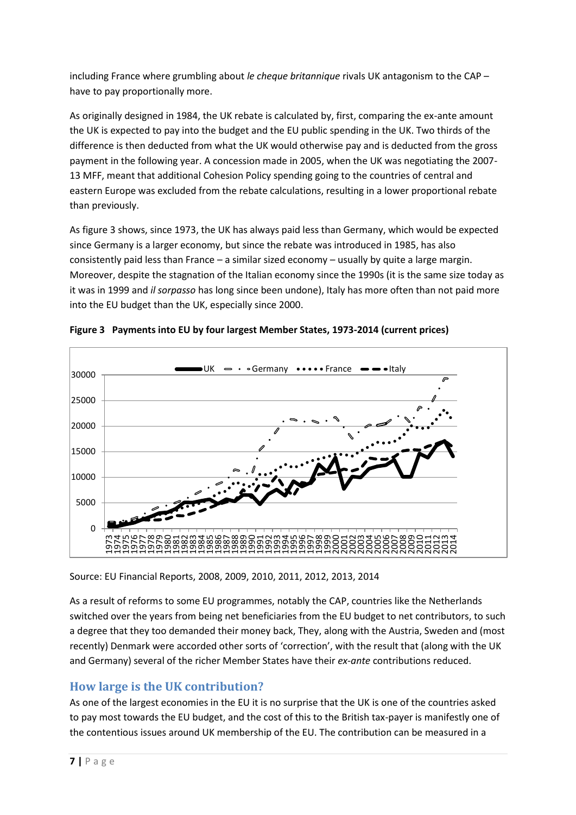including France where grumbling about *le cheque britannique* rivals UK antagonism to the CAP – have to pay proportionally more.

As originally designed in 1984, the UK rebate is calculated by, first, comparing the ex-ante amount the UK is expected to pay into the budget and the EU public spending in the UK. Two thirds of the difference is then deducted from what the UK would otherwise pay and is deducted from the gross payment in the following year. A concession made in 2005, when the UK was negotiating the 2007- 13 MFF, meant that additional Cohesion Policy spending going to the countries of central and eastern Europe was excluded from the rebate calculations, resulting in a lower proportional rebate than previously.

As figure 3 shows, since 1973, the UK has always paid less than Germany, which would be expected since Germany is a larger economy, but since the rebate was introduced in 1985, has also consistently paid less than France – a similar sized economy – usually by quite a large margin. Moreover, despite the stagnation of the Italian economy since the 1990s (it is the same size today as it was in 1999 and *il sorpasso* has long since been undone), Italy has more often than not paid more into the EU budget than the UK, especially since 2000.





Source: EU Financial Reports, 2008, 2009, 2010, 2011, 2012, 2013, 2014

As a result of reforms to some EU programmes, notably the CAP, countries like the Netherlands switched over the years from being net beneficiaries from the EU budget to net contributors, to such a degree that they too demanded their money back, They, along with the Austria, Sweden and (most recently) Denmark were accorded other sorts of 'correction', with the result that (along with the UK and Germany) several of the richer Member States have their *ex-ante* contributions reduced.

# **How large is the UK contribution?**

As one of the largest economies in the EU it is no surprise that the UK is one of the countries asked to pay most towards the EU budget, and the cost of this to the British tax-payer is manifestly one of the contentious issues around UK membership of the EU. The contribution can be measured in a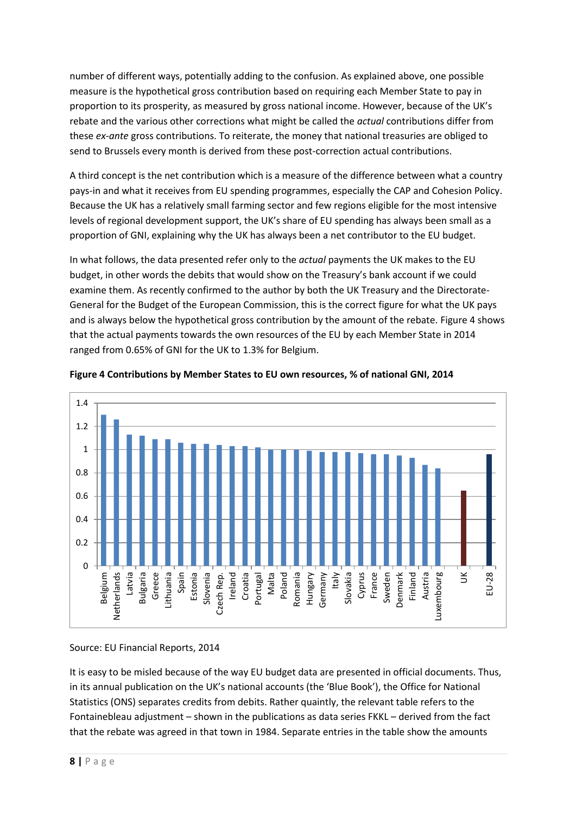number of different ways, potentially adding to the confusion. As explained above, one possible measure is the hypothetical gross contribution based on requiring each Member State to pay in proportion to its prosperity, as measured by gross national income. However, because of the UK's rebate and the various other corrections what might be called the *actual* contributions differ from these *ex-ante* gross contributions. To reiterate, the money that national treasuries are obliged to send to Brussels every month is derived from these post-correction actual contributions.

A third concept is the net contribution which is a measure of the difference between what a country pays-in and what it receives from EU spending programmes, especially the CAP and Cohesion Policy. Because the UK has a relatively small farming sector and few regions eligible for the most intensive levels of regional development support, the UK's share of EU spending has always been small as a proportion of GNI, explaining why the UK has always been a net contributor to the EU budget.

In what follows, the data presented refer only to the *actual* payments the UK makes to the EU budget, in other words the debits that would show on the Treasury's bank account if we could examine them. As recently confirmed to the author by both the UK Treasury and the Directorate-General for the Budget of the European Commission, this is the correct figure for what the UK pays and is always below the hypothetical gross contribution by the amount of the rebate. Figure 4 shows that the actual payments towards the own resources of the EU by each Member State in 2014 ranged from 0.65% of GNI for the UK to 1.3% for Belgium.





## Source: EU Financial Reports, 2014

It is easy to be misled because of the way EU budget data are presented in official documents. Thus, in its annual publication on the UK's national accounts (the 'Blue Book'), the Office for National Statistics (ONS) separates credits from debits. Rather quaintly, the relevant table refers to the Fontainebleau adjustment – shown in the publications as data series FKKL – derived from the fact that the rebate was agreed in that town in 1984. Separate entries in the table show the amounts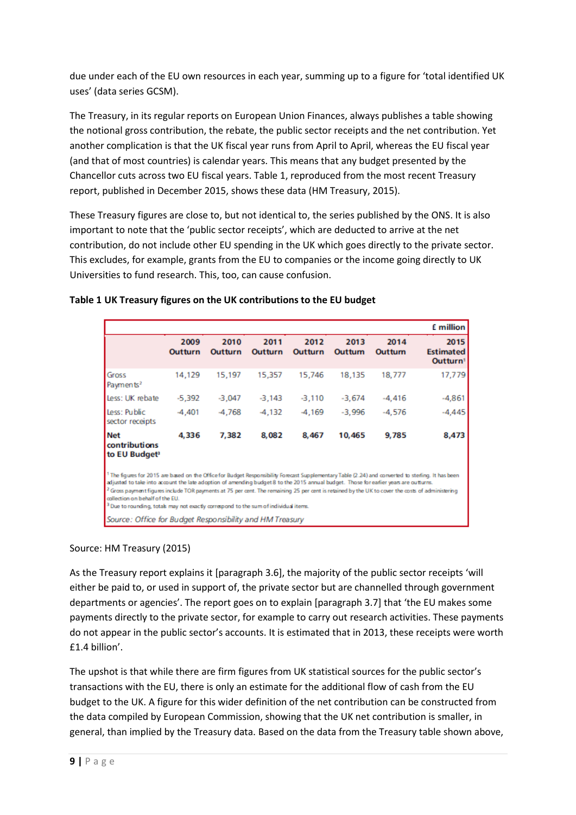due under each of the EU own resources in each year, summing up to a figure for 'total identified UK uses' (data series GCSM).

The Treasury, in its regular reports on European Union Finances, always publishes a table showing the notional gross contribution, the rebate, the public sector receipts and the net contribution. Yet another complication is that the UK fiscal year runs from April to April, whereas the EU fiscal year (and that of most countries) is calendar years. This means that any budget presented by the Chancellor cuts across two EU fiscal years. Table 1, reproduced from the most recent Treasury report, published in December 2015, shows these data (HM Treasury, 2015).

These Treasury figures are close to, but not identical to, the series published by the ONS. It is also important to note that the 'public sector receipts', which are deducted to arrive at the net contribution, do not include other EU spending in the UK which goes directly to the private sector. This excludes, for example, grants from the EU to companies or the income going directly to UK Universities to fund research. This, too, can cause confusion.

|                                                                                                                                                                                                                                                                                                                                                                                                                                                                                                                                                                                                              |                 |                 |                 |                 |                 |                 | E million                                        |
|--------------------------------------------------------------------------------------------------------------------------------------------------------------------------------------------------------------------------------------------------------------------------------------------------------------------------------------------------------------------------------------------------------------------------------------------------------------------------------------------------------------------------------------------------------------------------------------------------------------|-----------------|-----------------|-----------------|-----------------|-----------------|-----------------|--------------------------------------------------|
|                                                                                                                                                                                                                                                                                                                                                                                                                                                                                                                                                                                                              | 2009<br>Outturn | 2010<br>Outturn | 2011<br>Outturn | 2012<br>Outturn | 2013<br>Outturn | 2014<br>Outturn | 2015<br><b>Estimated</b><br>Outturn <sup>1</sup> |
| Gross<br>Payments <sup>2</sup>                                                                                                                                                                                                                                                                                                                                                                                                                                                                                                                                                                               | 14,129          | 15,197          | 15,357          | 15,746          | 18,135          | 18,777          | 17,779                                           |
| Less: UK rebate                                                                                                                                                                                                                                                                                                                                                                                                                                                                                                                                                                                              | $-5.392$        | $-3.047$        | $-3,143$        | $-3.110$        | $-3.674$        | $-4.416$        | $-4,861$                                         |
| Less: Public<br>sector receipts                                                                                                                                                                                                                                                                                                                                                                                                                                                                                                                                                                              | $-4,401$        | $-4.768$        | $-4.132$        | $-4.169$        | $-3.996$        | $-4.576$        | $-4,445$                                         |
| <b>Net</b><br>contributions<br>to EU Budget <sup>3</sup>                                                                                                                                                                                                                                                                                                                                                                                                                                                                                                                                                     | 4,336           | 7,382           | 8,082           | 8,467           | 10,465          | 9,785           | 8,473                                            |
| <sup>1</sup> The figures for 2015 are based on the Office for Budget Responsibility Forecast Supplementary Table (2.24) and converted to sterling. It has been<br>adjusted to take into account the late adoption of amending budget 8 to the 2015 annual budget. Those for earlier years are outturns.<br><sup>2</sup> Gross payment figures include TOR payments at 75 per cent. The remaining 25 per cent is retained by the UK to cover the costs of administering<br>collection on behalf of the EU.<br><sup>3</sup> Due to rounding, totals may not exactly correspond to the sum of individual items. |                 |                 |                 |                 |                 |                 |                                                  |
| Source: Office for Budget Responsibility and HM Treasury                                                                                                                                                                                                                                                                                                                                                                                                                                                                                                                                                     |                 |                 |                 |                 |                 |                 |                                                  |

#### **Table 1 UK Treasury figures on the UK contributions to the EU budget**

#### Source: HM Treasury (2015)

As the Treasury report explains it [paragraph 3.6], the majority of the public sector receipts 'will either be paid to, or used in support of, the private sector but are channelled through government departments or agencies'. The report goes on to explain [paragraph 3.7] that 'the EU makes some payments directly to the private sector, for example to carry out research activities. These payments do not appear in the public sector's accounts. It is estimated that in 2013, these receipts were worth £1.4 billion'.

The upshot is that while there are firm figures from UK statistical sources for the public sector's transactions with the EU, there is only an estimate for the additional flow of cash from the EU budget to the UK. A figure for this wider definition of the net contribution can be constructed from the data compiled by European Commission, showing that the UK net contribution is smaller, in general, than implied by the Treasury data. Based on the data from the Treasury table shown above,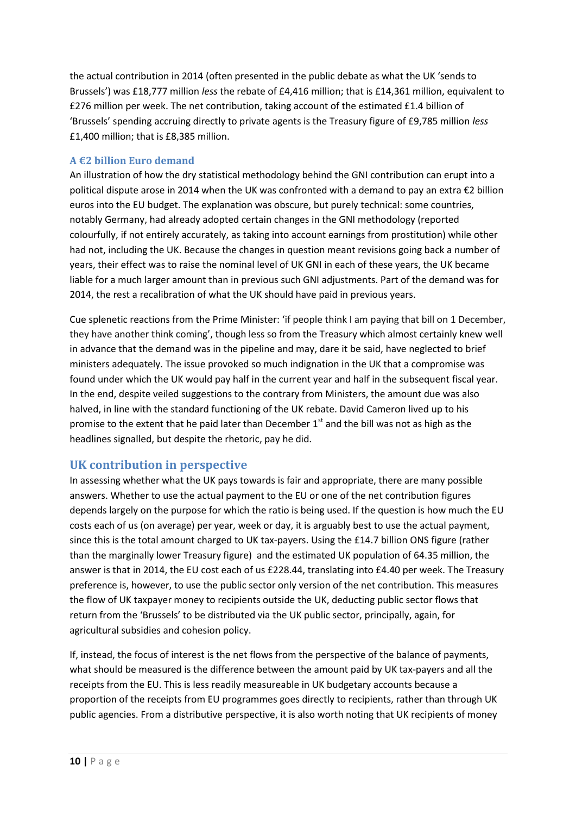the actual contribution in 2014 (often presented in the public debate as what the UK 'sends to Brussels') was £18,777 million *less* the rebate of £4,416 million; that is £14,361 million, equivalent to £276 million per week. The net contribution, taking account of the estimated £1.4 billion of 'Brussels' spending accruing directly to private agents is the Treasury figure of £9,785 million *less* £1,400 million; that is £8,385 million.

### **A €2 billion Euro demand**

An illustration of how the dry statistical methodology behind the GNI contribution can erupt into a political dispute arose in 2014 when the UK was confronted with a demand to pay an extra €2 billion euros into the EU budget. The explanation was obscure, but purely technical: some countries, notably Germany, had already adopted certain changes in the GNI methodology (reported colourfully, if not entirely accurately, as taking into account earnings from prostitution) while other had not, including the UK. Because the changes in question meant revisions going back a number of years, their effect was to raise the nominal level of UK GNI in each of these years, the UK became liable for a much larger amount than in previous such GNI adjustments. Part of the demand was for 2014, the rest a recalibration of what the UK should have paid in previous years.

Cue splenetic reactions from the Prime Minister: 'if people think I am paying that bill on 1 December, they have another think coming', though less so from the Treasury which almost certainly knew well in advance that the demand was in the pipeline and may, dare it be said, have neglected to brief ministers adequately. The issue provoked so much indignation in the UK that a compromise was found under which the UK would pay half in the current year and half in the subsequent fiscal year. In the end, despite veiled suggestions to the contrary from Ministers, the amount due was also halved, in line with the standard functioning of the UK rebate. David Cameron lived up to his promise to the extent that he paid later than December  $1<sup>st</sup>$  and the bill was not as high as the headlines signalled, but despite the rhetoric, pay he did.

# **UK contribution in perspective**

In assessing whether what the UK pays towards is fair and appropriate, there are many possible answers. Whether to use the actual payment to the EU or one of the net contribution figures depends largely on the purpose for which the ratio is being used. If the question is how much the EU costs each of us (on average) per year, week or day, it is arguably best to use the actual payment, since this is the total amount charged to UK tax-payers. Using the £14.7 billion ONS figure (rather than the marginally lower Treasury figure) and the estimated UK population of 64.35 million, the answer is that in 2014, the EU cost each of us £228.44, translating into £4.40 per week. The Treasury preference is, however, to use the public sector only version of the net contribution. This measures the flow of UK taxpayer money to recipients outside the UK, deducting public sector flows that return from the 'Brussels' to be distributed via the UK public sector, principally, again, for agricultural subsidies and cohesion policy.

If, instead, the focus of interest is the net flows from the perspective of the balance of payments, what should be measured is the difference between the amount paid by UK tax-payers and all the receipts from the EU. This is less readily measureable in UK budgetary accounts because a proportion of the receipts from EU programmes goes directly to recipients, rather than through UK public agencies. From a distributive perspective, it is also worth noting that UK recipients of money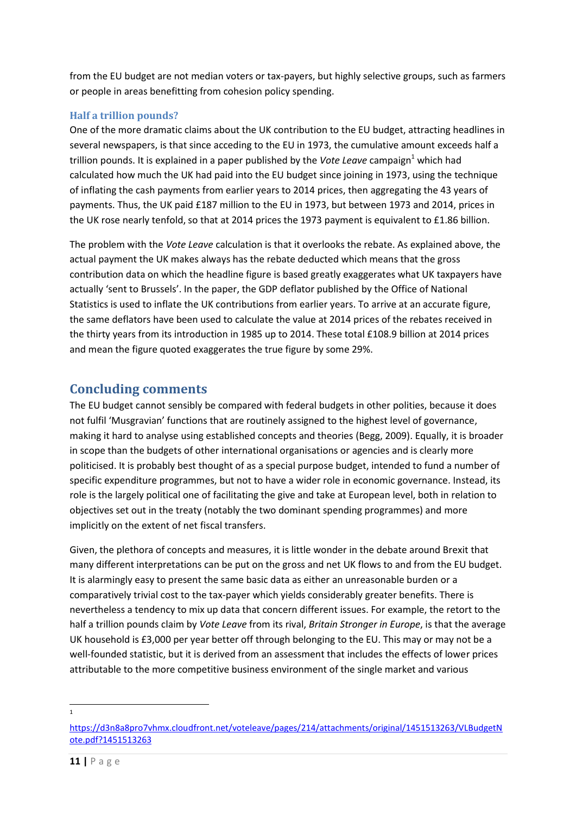from the EU budget are not median voters or tax-payers, but highly selective groups, such as farmers or people in areas benefitting from cohesion policy spending.

## **Half a trillion pounds?**

One of the more dramatic claims about the UK contribution to the EU budget, attracting headlines in several newspapers, is that since acceding to the EU in 1973, the cumulative amount exceeds half a trillion pounds. It is explained in a paper published by the *Vote Leave* campaign<sup>1</sup> which had calculated how much the UK had paid into the EU budget since joining in 1973, using the technique of inflating the cash payments from earlier years to 2014 prices, then aggregating the 43 years of payments. Thus, the UK paid £187 million to the EU in 1973, but between 1973 and 2014, prices in the UK rose nearly tenfold, so that at 2014 prices the 1973 payment is equivalent to £1.86 billion.

The problem with the *Vote Leave* calculation is that it overlooks the rebate. As explained above, the actual payment the UK makes always has the rebate deducted which means that the gross contribution data on which the headline figure is based greatly exaggerates what UK taxpayers have actually 'sent to Brussels'. In the paper, the GDP deflator published by the Office of National Statistics is used to inflate the UK contributions from earlier years. To arrive at an accurate figure, the same deflators have been used to calculate the value at 2014 prices of the rebates received in the thirty years from its introduction in 1985 up to 2014. These total £108.9 billion at 2014 prices and mean the figure quoted exaggerates the true figure by some 29%.

# **Concluding comments**

The EU budget cannot sensibly be compared with federal budgets in other polities, because it does not fulfil 'Musgravian' functions that are routinely assigned to the highest level of governance, making it hard to analyse using established concepts and theories (Begg, 2009). Equally, it is broader in scope than the budgets of other international organisations or agencies and is clearly more politicised. It is probably best thought of as a special purpose budget, intended to fund a number of specific expenditure programmes, but not to have a wider role in economic governance. Instead, its role is the largely political one of facilitating the give and take at European level, both in relation to objectives set out in the treaty (notably the two dominant spending programmes) and more implicitly on the extent of net fiscal transfers.

Given, the plethora of concepts and measures, it is little wonder in the debate around Brexit that many different interpretations can be put on the gross and net UK flows to and from the EU budget. It is alarmingly easy to present the same basic data as either an unreasonable burden or a comparatively trivial cost to the tax-payer which yields considerably greater benefits. There is nevertheless a tendency to mix up data that concern different issues. For example, the retort to the half a trillion pounds claim by *Vote Leave* from its rival, *Britain Stronger in Europe*, is that the average UK household is £3,000 per year better off through belonging to the EU. This may or may not be a well-founded statistic, but it is derived from an assessment that includes the effects of lower prices attributable to the more competitive business environment of the single market and various

**.** 1

[https://d3n8a8pro7vhmx.cloudfront.net/voteleave/pages/214/attachments/original/1451513263/VLBudgetN](https://d3n8a8pro7vhmx.cloudfront.net/voteleave/pages/214/attachments/original/1451513263/VLBudgetNote.pdf?1451513263) [ote.pdf?1451513263](https://d3n8a8pro7vhmx.cloudfront.net/voteleave/pages/214/attachments/original/1451513263/VLBudgetNote.pdf?1451513263)